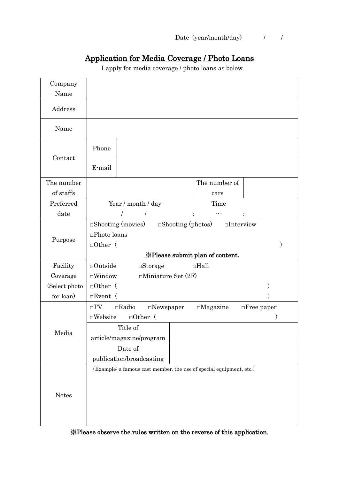## Application for Media Coverage / Photo Loans

I apply for media coverage / photo loans as below.

| Company<br>Name |                                         |                                                                     |  |                                                 |                      |  |
|-----------------|-----------------------------------------|---------------------------------------------------------------------|--|-------------------------------------------------|----------------------|--|
| Address         |                                         |                                                                     |  |                                                 |                      |  |
| Name            |                                         |                                                                     |  |                                                 |                      |  |
| Contact         | Phone                                   |                                                                     |  |                                                 |                      |  |
|                 | E-mail                                  |                                                                     |  |                                                 |                      |  |
| The number      |                                         |                                                                     |  | The number of                                   |                      |  |
| of staffs       |                                         |                                                                     |  | cars                                            |                      |  |
| Preferred       |                                         | Year / month / day                                                  |  | Time                                            |                      |  |
| date            |                                         | $\prime$<br>$\prime$                                                |  |                                                 |                      |  |
|                 |                                         | $\Box$ Shooting (movies)                                            |  | $\square$ Interview<br>$\Box$ Shooting (photos) |                      |  |
|                 | $\square$ Photo loans                   |                                                                     |  |                                                 |                      |  |
| Purpose         | $\Box$ Other (                          |                                                                     |  |                                                 |                      |  |
|                 | <b>X</b> Please submit plan of content. |                                                                     |  |                                                 |                      |  |
|                 |                                         |                                                                     |  |                                                 |                      |  |
| Facility        | $\Box$ Outside                          | $\square$ Storage                                                   |  | $\Box$ Hall                                     |                      |  |
| Coverage        | $\square$ Window                        | $\Box$ Miniature Set (2F)                                           |  |                                                 |                      |  |
| (Select photo)  | $\Box$ Other (                          |                                                                     |  |                                                 |                      |  |
| for loan)       | $\Box$ Event (                          |                                                                     |  |                                                 |                      |  |
|                 | $\square TV$                            | $\Box$ Radio<br>$\square$ Newspaper                                 |  | $\square$ Magazine                              | $\square$ Free paper |  |
|                 | $\square$ Website                       | $\Box$ Other (                                                      |  |                                                 |                      |  |
|                 |                                         | Title of                                                            |  |                                                 |                      |  |
| Media           |                                         | article/magazine/program                                            |  |                                                 |                      |  |
|                 |                                         | Date of                                                             |  |                                                 |                      |  |
|                 |                                         | publication/broadcasting                                            |  |                                                 |                      |  |
|                 |                                         | (Example: a famous cast member, the use of special equipment, etc.) |  |                                                 |                      |  |
|                 |                                         |                                                                     |  |                                                 |                      |  |
|                 |                                         |                                                                     |  |                                                 |                      |  |
| <b>Notes</b>    |                                         |                                                                     |  |                                                 |                      |  |
|                 |                                         |                                                                     |  |                                                 |                      |  |

※Please observe the rules written on the reverse of this application.